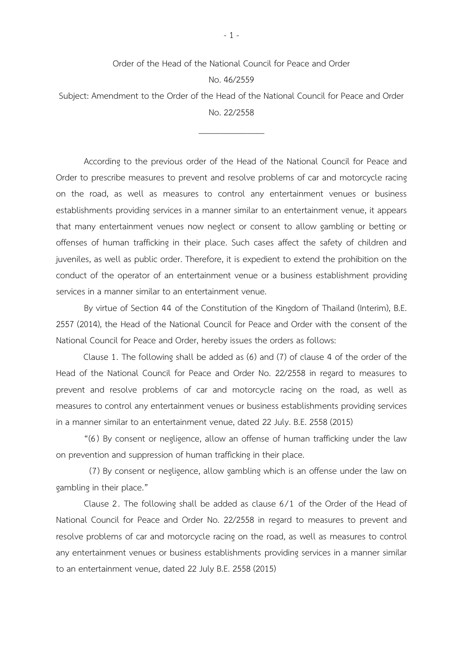## Order of the Head of the National Council for Peace and Order No. 46/2559

Subject: Amendment to the Order of the Head of the National Council for Peace and Order No. 22/2558

\_\_\_\_\_\_\_\_\_\_\_\_\_\_\_

According to the previous order of the Head of the National Council for Peace and Order to prescribe measures to prevent and resolve problems of car and motorcycle racing on the road, as well as measures to control any entertainment venues or business establishments providing services in a manner similar to an entertainment venue, it appears that many entertainment venues now neglect or consent to allow gambling or betting or offenses of human trafficking in their place. Such cases affect the safety of children and juveniles, as well as public order. Therefore, it is expedient to extend the prohibition on the conduct of the operator of an entertainment venue or a business establishment providing services in a manner similar to an entertainment venue.

By virtue of Section 44 of the Constitution of the Kingdom of Thailand (Interim), B.E. 2557 (2014), the Head of the National Council for Peace and Order with the consent of the National Council for Peace and Order, hereby issues the orders as follows:

Clause 1. The following shall be added as (6) and (7) of clause 4 of the order of the Head of the National Council for Peace and Order No. 22/2558 in regard to measures to prevent and resolve problems of car and motorcycle racing on the road, as well as measures to control any entertainment venues or business establishments providing services in a manner similar to an entertainment venue, dated 22 July. B.E. 2558 (2015)

"(6 ) By consent or negligence, allow an offense of human trafficking under the law on prevention and suppression of human trafficking in their place.

(7) By consent or negligence, allow gambling which is an offense under the law on gambling in their place."

Clause 2. The following shall be added as clause 6/1 of the Order of the Head of National Council for Peace and Order No. 22/2558 in regard to measures to prevent and resolve problems of car and motorcycle racing on the road, as well as measures to control any entertainment venues or business establishments providing services in a manner similar to an entertainment venue, dated 22 July B.E. 2558 (2015)